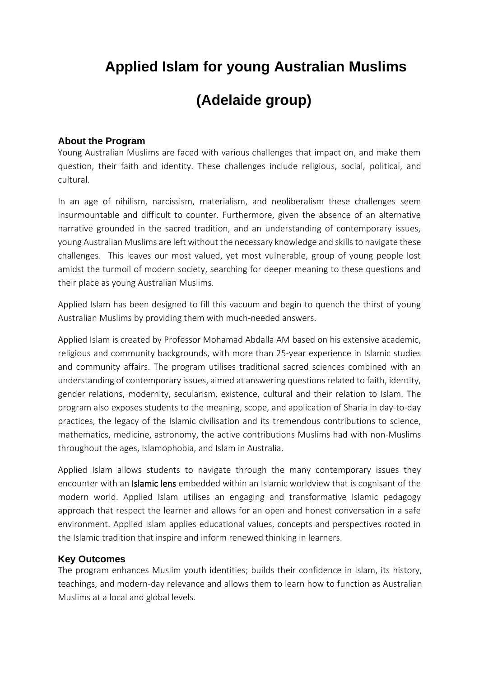# **Applied Islam for young Australian Muslims**

# **(Adelaide group)**

## **About the Program**

Young Australian Muslims are faced with various challenges that impact on, and make them question, their faith and identity. These challenges include religious, social, political, and cultural.

In an age of nihilism, narcissism, materialism, and neoliberalism these challenges seem insurmountable and difficult to counter. Furthermore, given the absence of an alternative narrative grounded in the sacred tradition, and an understanding of contemporary issues, young Australian Muslims are left without the necessary knowledge and skills to navigate these challenges. This leaves our most valued, yet most vulnerable, group of young people lost amidst the turmoil of modern society, searching for deeper meaning to these questions and their place as young Australian Muslims.

Applied Islam has been designed to fill this vacuum and begin to quench the thirst of young Australian Muslims by providing them with much-needed answers.

Applied Islam is created by Professor Mohamad Abdalla AM based on his extensive academic, religious and community backgrounds, with more than 25-year experience in Islamic studies and community affairs. The program utilises traditional sacred sciences combined with an understanding of contemporary issues, aimed at answering questions related to faith, identity, gender relations, modernity, secularism, existence, cultural and their relation to Islam. The program also exposes students to the meaning, scope, and application of Sharia in day-to-day practices, the legacy of the Islamic civilisation and its tremendous contributions to science, mathematics, medicine, astronomy, the active contributions Muslims had with non-Muslims throughout the ages, Islamophobia, and Islam in Australia.

Applied Islam allows students to navigate through the many contemporary issues they encounter with an Islamic lens embedded within an Islamic worldview that is cognisant of the modern world. Applied Islam utilises an engaging and transformative Islamic pedagogy approach that respect the learner and allows for an open and honest conversation in a safe environment. Applied Islam applies educational values, concepts and perspectives rooted in the Islamic tradition that inspire and inform renewed thinking in learners.

### **Key Outcomes**

The program enhances Muslim youth identities; builds their confidence in Islam, its history, teachings, and modern-day relevance and allows them to learn how to function as Australian Muslims at a local and global levels.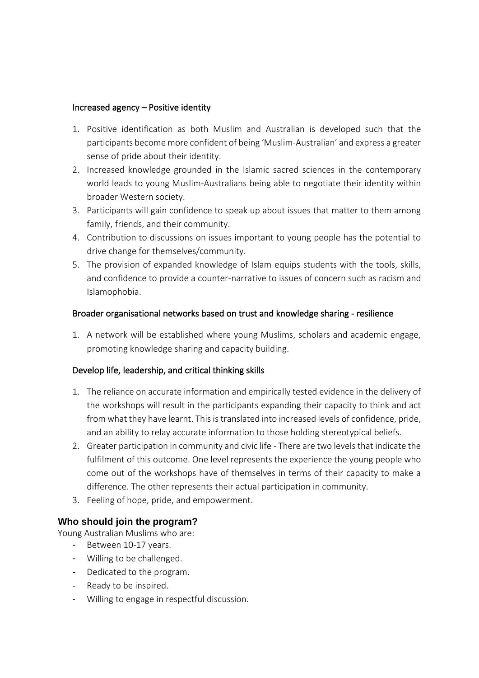#### Increased agency – Positive identity

- 1. Positive identification as both Muslim and Australian is developed such that the participants become more confident of being 'Muslim-Australian' and express a greater sense of pride about their identity.
- 2. Increased knowledge grounded in the Islamic sacred sciences in the contemporary world leads to young Muslim-Australians being able to negotiate their identity within broader Western society.
- 3. Participants will gain confidence to speak up about issues that matter to them among family, friends, and their community.
- 4. Contribution to discussions on issues important to young people has the potential to drive change for themselves/community.
- 5. The provision of expanded knowledge of Islam equips students with the tools, skills, and confidence to provide a counter-narrative to issues of concern such as racism and Islamophobia.

### Broader organisational networks based on trust and knowledge sharing - resilience

1. A network will be established where young Muslims, scholars and academic engage, promoting knowledge sharing and capacity building.

### Develop life, leadership, and critical thinking skills

- 1. The reliance on accurate information and empirically tested evidence in the delivery of the workshops will result in the participants expanding their capacity to think and act from what they have learnt. This is translated into increased levels of confidence, pride, and an ability to relay accurate information to those holding stereotypical beliefs.
- 2. Greater participation in community and civic life There are two levels that indicate the fulfilment of this outcome. One level represents the experience the young people who come out of the workshops have of themselves in terms of their capacity to make a difference. The other represents their actual participation in community.
- 3. Feeling of hope, pride, and empowerment.

### **Who should join the program?**

Young Australian Muslims who are:

- Between 10-17 years.
- Willing to be challenged.
- Dedicated to the program.
- Ready to be inspired.
- Willing to engage in respectful discussion.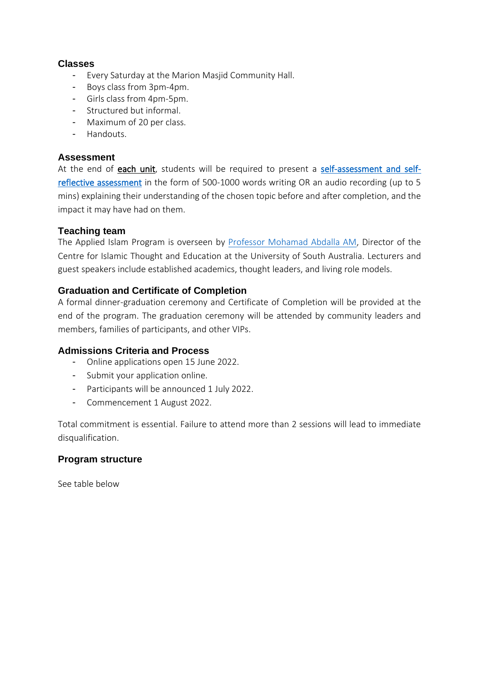## **Classes**

- Every Saturday at the Marion Masjid Community Hall.
- Boys class from 3pm-4pm.
- Girls class from 4pm-5pm.
- Structured but informal.
- Maximum of 20 per class.
- Handouts.

## **Assessment**

At the end of each unit, students will be required to present a [self-assessment and self](https://schoolbox.com.au/blog/what-does-self-assessment-and-self-reflection-bring-to-the-learning-journey/#:~:text=Self%2Dassessment%20and%20self%2Dreflection%20involves%20students%20reviewing%20their%20work,against%20a%20set%20of%20criteria.)[reflective assessment](https://schoolbox.com.au/blog/what-does-self-assessment-and-self-reflection-bring-to-the-learning-journey/#:~:text=Self%2Dassessment%20and%20self%2Dreflection%20involves%20students%20reviewing%20their%20work,against%20a%20set%20of%20criteria.) in the form of 500-1000 words writing OR an audio recording (up to 5 mins) explaining their understanding of the chosen topic before and after completion, and the impact it may have had on them.

## **Teaching team**

The Applied Islam Program is overseen by [Professor Mohamad Abdalla AM,](https://people.unisa.edu.au/Mohamad.Abdalla) Director of the Centre for Islamic Thought and Education at the University of South Australia. Lecturers and guest speakers include established academics, thought leaders, and living role models.

## **Graduation and Certificate of Completion**

A formal dinner-graduation ceremony and Certificate of Completion will be provided at the end of the program. The graduation ceremony will be attended by community leaders and members, families of participants, and other VIPs.

### **Admissions Criteria and Process**

- Online applications open 15 June 2022.
- Submit your application online.
- Participants will be announced 1 July 2022.
- Commencement 1 August 2022.

Total commitment is essential. Failure to attend more than 2 sessions will lead to immediate disqualification.

## **Program structure**

See table below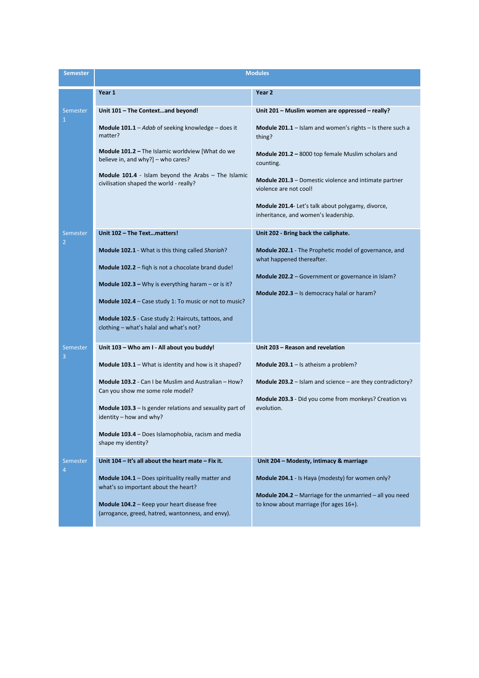| <b>Semester</b>            | <b>Modules</b>                                                                                                                                                                                                                                                                                                                                                                     |                                                                                                                                                                                                                                                |
|----------------------------|------------------------------------------------------------------------------------------------------------------------------------------------------------------------------------------------------------------------------------------------------------------------------------------------------------------------------------------------------------------------------------|------------------------------------------------------------------------------------------------------------------------------------------------------------------------------------------------------------------------------------------------|
|                            | Year 1                                                                                                                                                                                                                                                                                                                                                                             | Year 2                                                                                                                                                                                                                                         |
| Semester<br>$\mathbf{1}$   | Unit 101 - The Contextand beyond!<br><b>Module 101.1</b> – Adab of seeking knowledge – does it<br>matter?<br>Module 101.2 - The Islamic worldview [What do we                                                                                                                                                                                                                      | Unit 201 - Muslim women are oppressed - really?<br><b>Module 201.1</b> – Islam and women's rights – Is there such a<br>thing?<br><b>Module 201.2</b> – 8000 top female Muslim scholars and                                                     |
|                            | believe in, and why?] - who cares?<br>Module 101.4 - Islam beyond the Arabs - The Islamic<br>civilisation shaped the world - really?                                                                                                                                                                                                                                               | counting.<br><b>Module 201.3</b> – Domestic violence and intimate partner<br>violence are not cool!<br>Module 201.4- Let's talk about polygamy, divorce,<br>inheritance, and women's leadership.                                               |
| Semester<br>$\overline{2}$ | Unit 102 - The Textmatters!<br><b>Module 102.1</b> - What is this thing called Shariah?<br><b>Module 102.2</b> – figh is not a chocolate brand dude!<br><b>Module 102.3</b> – Why is everything haram – or is it?<br>Module 102.4 - Case study 1: To music or not to music?<br>Module 102.5 - Case study 2: Haircuts, tattoos, and<br>clothing - what's halal and what's not?      | Unit 202 - Bring back the caliphate.<br><b>Module 202.1</b> - The Prophetic model of governance, and<br>what happened thereafter.<br>Module 202.2 - Government or governance in Islam?<br><b>Module 202.3</b> $-$ Is democracy halal or haram? |
| Semest <u>er</u><br>3      | Unit 103 - Who am I - All about you buddy!<br>Module 103.1 - What is identity and how is it shaped?<br>Module 103.2 - Can I be Muslim and Australian - How?<br>Can you show me some role model?<br><b>Module 103.3</b> $-$ Is gender relations and sexuality part of<br>identity – how and why?<br><b>Module 103.4</b> – Does Islamophobia, racism and media<br>shape my identity? | Unit 203 - Reason and revelation<br><b>Module 203.1</b> – Is atheism a problem?<br><b>Module 203.2</b> – Islam and science – are they contradictory?<br><b>Module 203.3</b> - Did you come from monkeys? Creation vs<br>evolution.             |
| Semester<br>$\overline{4}$ | Unit 104 – It's all about the heart mate – Fix it.<br>Module 104.1 - Does spirituality really matter and<br>what's so important about the heart?<br>Module 104.2 - Keep your heart disease free<br>(arrogance, greed, hatred, wantonness, and envy).                                                                                                                               | Unit 204 - Modesty, intimacy & marriage<br><b>Module 204.1</b> - Is Haya (modesty) for women only?<br><b>Module 204.2</b> – Marriage for the unmarried – all you need<br>to know about marriage (for ages 16+).                                |